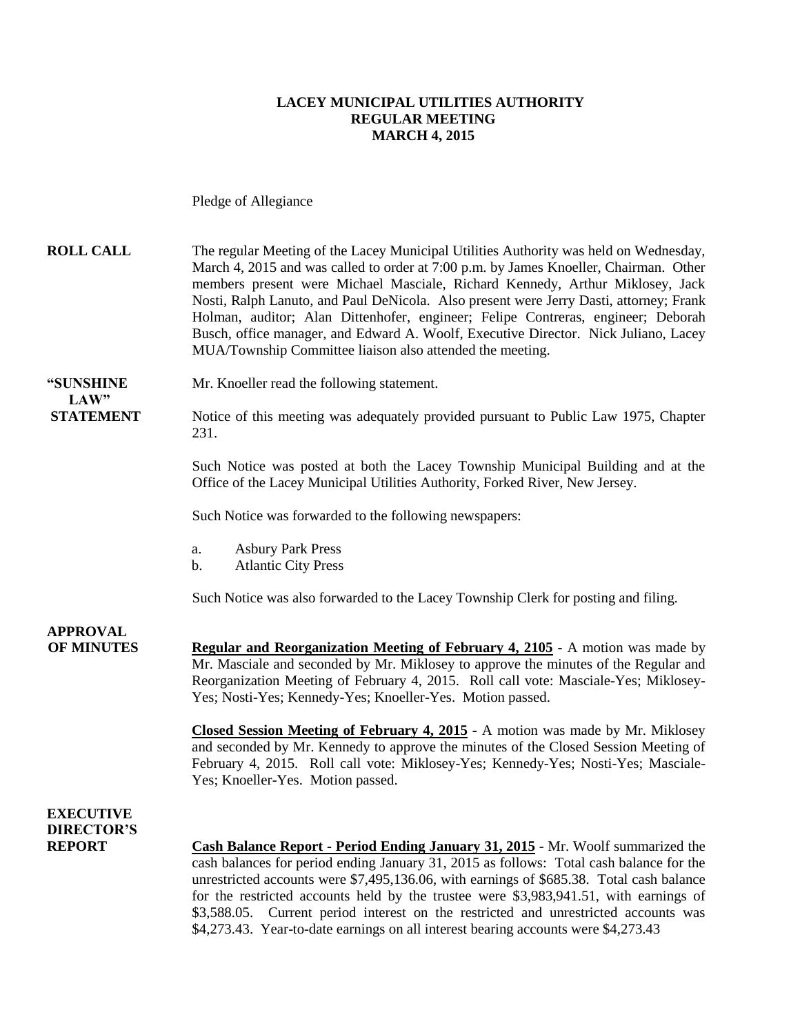#### **LACEY MUNICIPAL UTILITIES AUTHORITY REGULAR MEETING MARCH 4, 2015**

Pledge of Allegiance

**ROLL CALL** The regular Meeting of the Lacey Municipal Utilities Authority was held on Wednesday, March 4, 2015 and was called to order at 7:00 p.m. by James Knoeller, Chairman. Other members present were Michael Masciale, Richard Kennedy, Arthur Miklosey, Jack Nosti, Ralph Lanuto, and Paul DeNicola. Also present were Jerry Dasti, attorney; Frank Holman, auditor; Alan Dittenhofer, engineer; Felipe Contreras, engineer; Deborah Busch, office manager, and Edward A. Woolf, Executive Director. Nick Juliano, Lacey MUA/Township Committee liaison also attended the meeting.

**"SUNSHINE** Mr. Knoeller read the following statement.

**STATEMENT** Notice of this meeting was adequately provided pursuant to Public Law 1975, Chapter 231.

> Such Notice was posted at both the Lacey Township Municipal Building and at the Office of the Lacey Municipal Utilities Authority, Forked River, New Jersey.

Such Notice was forwarded to the following newspapers:

- a. Asbury Park Press
- b. Atlantic City Press

Such Notice was also forwarded to the Lacey Township Clerk for posting and filing.

## **APPROVAL**

 $LAW"$ 

**OF MINUTES Regular and Reorganization Meeting of February 4, 2105 -** A motion was made by Mr. Masciale and seconded by Mr. Miklosey to approve the minutes of the Regular and Reorganization Meeting of February 4, 2015. Roll call vote: Masciale-Yes; Miklosey-Yes; Nosti-Yes; Kennedy-Yes; Knoeller-Yes. Motion passed.

> **Closed Session Meeting of February 4, 2015 -** A motion was made by Mr. Miklosey and seconded by Mr. Kennedy to approve the minutes of the Closed Session Meeting of February 4, 2015. Roll call vote: Miklosey-Yes; Kennedy-Yes; Nosti-Yes; Masciale-Yes; Knoeller-Yes. Motion passed.

### **EXECUTIVE DIRECTOR'S**

**REPORT Cash Balance Report - Period Ending January 31, 2015** - Mr. Woolf summarized the cash balances for period ending January 31, 2015 as follows: Total cash balance for the unrestricted accounts were \$7,495,136.06, with earnings of \$685.38. Total cash balance for the restricted accounts held by the trustee were \$3,983,941.51, with earnings of \$3,588.05. Current period interest on the restricted and unrestricted accounts was \$4,273.43. Year-to-date earnings on all interest bearing accounts were \$4,273.43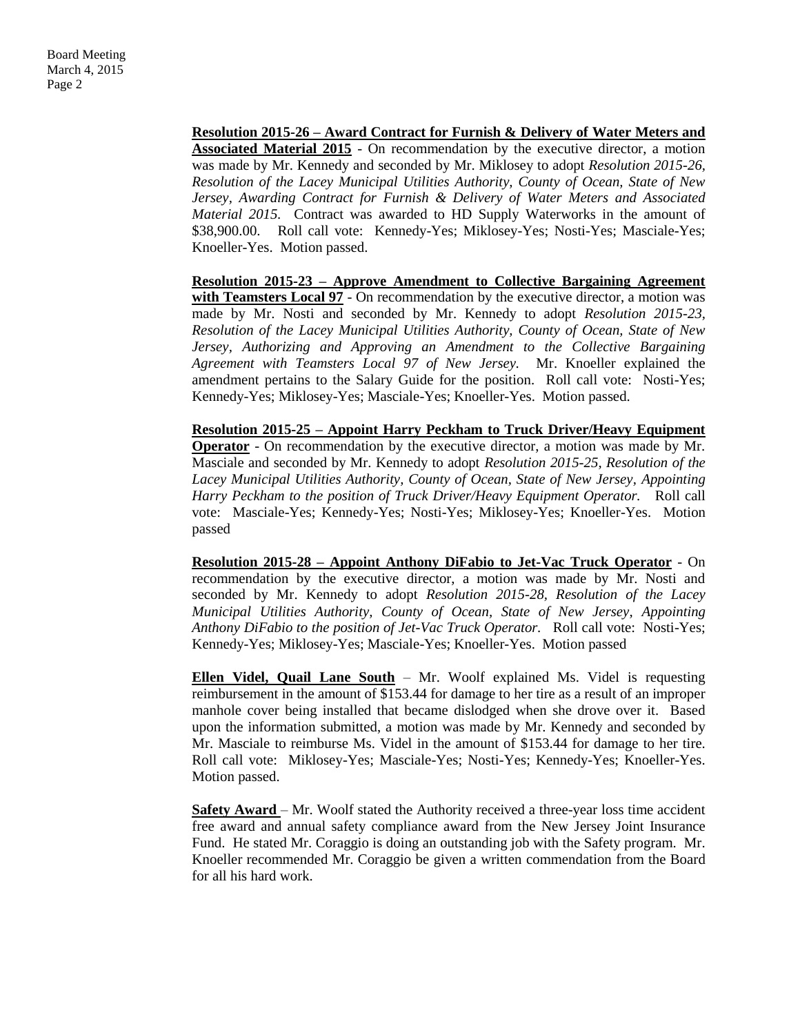**Resolution 2015-26 – Award Contract for Furnish & Delivery of Water Meters and Associated Material 2015** - On recommendation by the executive director, a motion was made by Mr. Kennedy and seconded by Mr. Miklosey to adopt *Resolution 2015-26, Resolution of the Lacey Municipal Utilities Authority, County of Ocean, State of New Jersey, Awarding Contract for Furnish & Delivery of Water Meters and Associated Material 2015.* Contract was awarded to HD Supply Waterworks in the amount of \$38,900.00. Roll call vote: Kennedy-Yes; Miklosey-Yes; Nosti-Yes; Masciale-Yes; Knoeller-Yes. Motion passed.

**Resolution 2015-23 – Approve Amendment to Collective Bargaining Agreement with Teamsters Local 97** - On recommendation by the executive director, a motion was made by Mr. Nosti and seconded by Mr. Kennedy to adopt *Resolution 2015-23, Resolution of the Lacey Municipal Utilities Authority, County of Ocean, State of New Jersey, Authorizing and Approving an Amendment to the Collective Bargaining Agreement with Teamsters Local 97 of New Jersey.* Mr. Knoeller explained the amendment pertains to the Salary Guide for the position. Roll call vote: Nosti-Yes; Kennedy-Yes; Miklosey-Yes; Masciale-Yes; Knoeller-Yes. Motion passed.

**Resolution 2015-25 – Appoint Harry Peckham to Truck Driver/Heavy Equipment Operator** - On recommendation by the executive director, a motion was made by Mr. Masciale and seconded by Mr. Kennedy to adopt *Resolution 2015-25, Resolution of the Lacey Municipal Utilities Authority, County of Ocean, State of New Jersey, Appointing Harry Peckham to the position of Truck Driver/Heavy Equipment Operator.* Roll call vote: Masciale-Yes; Kennedy-Yes; Nosti-Yes; Miklosey-Yes; Knoeller-Yes. Motion passed

**Resolution 2015-28 – Appoint Anthony DiFabio to Jet-Vac Truck Operator** - On recommendation by the executive director, a motion was made by Mr. Nosti and seconded by Mr. Kennedy to adopt *Resolution 2015-28, Resolution of the Lacey Municipal Utilities Authority, County of Ocean, State of New Jersey, Appointing Anthony DiFabio to the position of Jet-Vac Truck Operator.* Roll call vote: Nosti-Yes; Kennedy-Yes; Miklosey-Yes; Masciale-Yes; Knoeller-Yes. Motion passed

**Ellen Videl, Quail Lane South** – Mr. Woolf explained Ms. Videl is requesting reimbursement in the amount of \$153.44 for damage to her tire as a result of an improper manhole cover being installed that became dislodged when she drove over it. Based upon the information submitted, a motion was made by Mr. Kennedy and seconded by Mr. Masciale to reimburse Ms. Videl in the amount of \$153.44 for damage to her tire. Roll call vote: Miklosey-Yes; Masciale-Yes; Nosti-Yes; Kennedy-Yes; Knoeller-Yes. Motion passed.

**Safety Award** – Mr. Woolf stated the Authority received a three-year loss time accident free award and annual safety compliance award from the New Jersey Joint Insurance Fund. He stated Mr. Coraggio is doing an outstanding job with the Safety program. Mr. Knoeller recommended Mr. Coraggio be given a written commendation from the Board for all his hard work.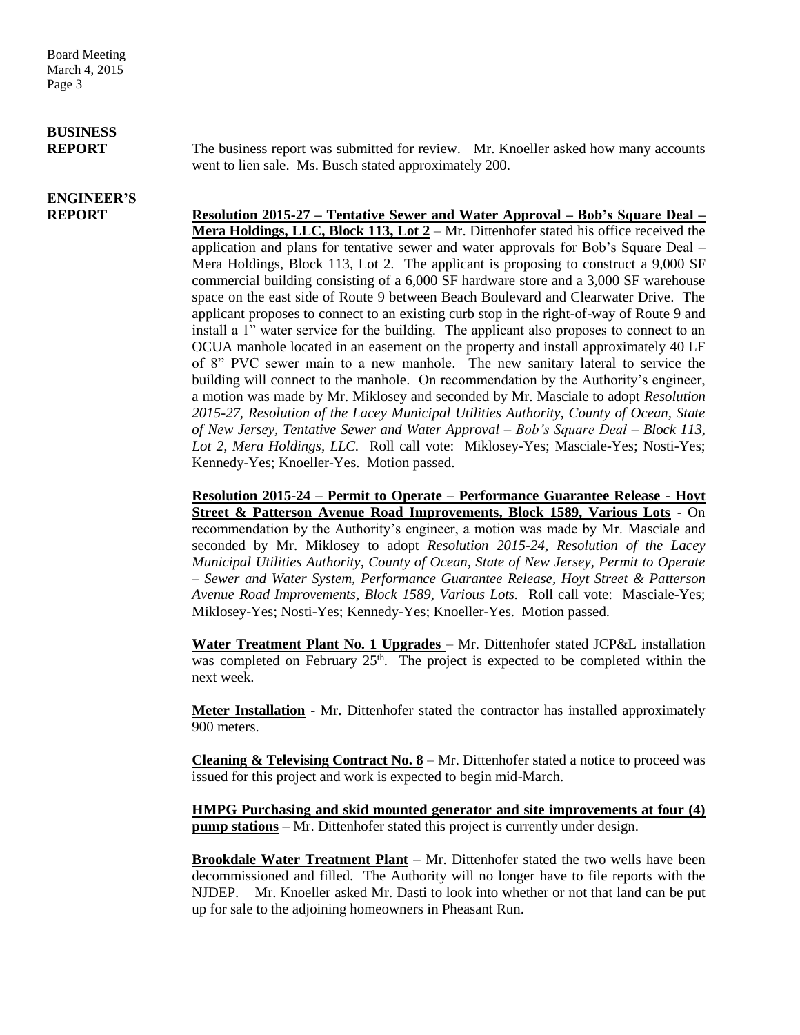Board Meeting March 4, 2015 Page 3

# **BUSINESS**

## **ENGINEER'S**

**REPORT** The business report was submitted for review. Mr. Knoeller asked how many accounts went to lien sale. Ms. Busch stated approximately 200.

**REPORT Resolution 2015-27 – Tentative Sewer and Water Approval – Bob's Square Deal – Mera Holdings, LLC, Block 113, Lot 2** – Mr. Dittenhofer stated his office received the application and plans for tentative sewer and water approvals for Bob's Square Deal – Mera Holdings, Block 113, Lot 2. The applicant is proposing to construct a 9,000 SF commercial building consisting of a 6,000 SF hardware store and a 3,000 SF warehouse space on the east side of Route 9 between Beach Boulevard and Clearwater Drive. The applicant proposes to connect to an existing curb stop in the right-of-way of Route 9 and install a 1" water service for the building. The applicant also proposes to connect to an OCUA manhole located in an easement on the property and install approximately 40 LF of 8" PVC sewer main to a new manhole. The new sanitary lateral to service the building will connect to the manhole. On recommendation by the Authority's engineer, a motion was made by Mr. Miklosey and seconded by Mr. Masciale to adopt *Resolution 2015-27, Resolution of the Lacey Municipal Utilities Authority, County of Ocean, State of New Jersey, Tentative Sewer and Water Approval – Bob's Square Deal – Block 113, Lot 2, Mera Holdings, LLC.* Roll call vote: Miklosey-Yes; Masciale-Yes; Nosti-Yes; Kennedy-Yes; Knoeller-Yes. Motion passed.

> **Resolution 2015-24 – Permit to Operate – Performance Guarantee Release - Hoyt Street & Patterson Avenue Road Improvements, Block 1589, Various Lots** - On recommendation by the Authority's engineer, a motion was made by Mr. Masciale and seconded by Mr. Miklosey to adopt *Resolution 2015-24, Resolution of the Lacey Municipal Utilities Authority, County of Ocean, State of New Jersey, Permit to Operate – Sewer and Water System, Performance Guarantee Release, Hoyt Street & Patterson Avenue Road Improvements, Block 1589, Various Lots.* Roll call vote: Masciale-Yes; Miklosey-Yes; Nosti-Yes; Kennedy-Yes; Knoeller-Yes. Motion passed.

> **Water Treatment Plant No. 1 Upgrades** – Mr. Dittenhofer stated JCP&L installation was completed on February  $25<sup>th</sup>$ . The project is expected to be completed within the next week.

> **Meter Installation** - Mr. Dittenhofer stated the contractor has installed approximately 900 meters.

> **Cleaning & Televising Contract No.**  $8 - Mr$ **.** Dittenhofer stated a notice to proceed was issued for this project and work is expected to begin mid-March.

> **HMPG Purchasing and skid mounted generator and site improvements at four (4) pump stations** – Mr. Dittenhofer stated this project is currently under design.

> **Brookdale Water Treatment Plant** – Mr. Dittenhofer stated the two wells have been decommissioned and filled. The Authority will no longer have to file reports with the NJDEP. Mr. Knoeller asked Mr. Dasti to look into whether or not that land can be put up for sale to the adjoining homeowners in Pheasant Run.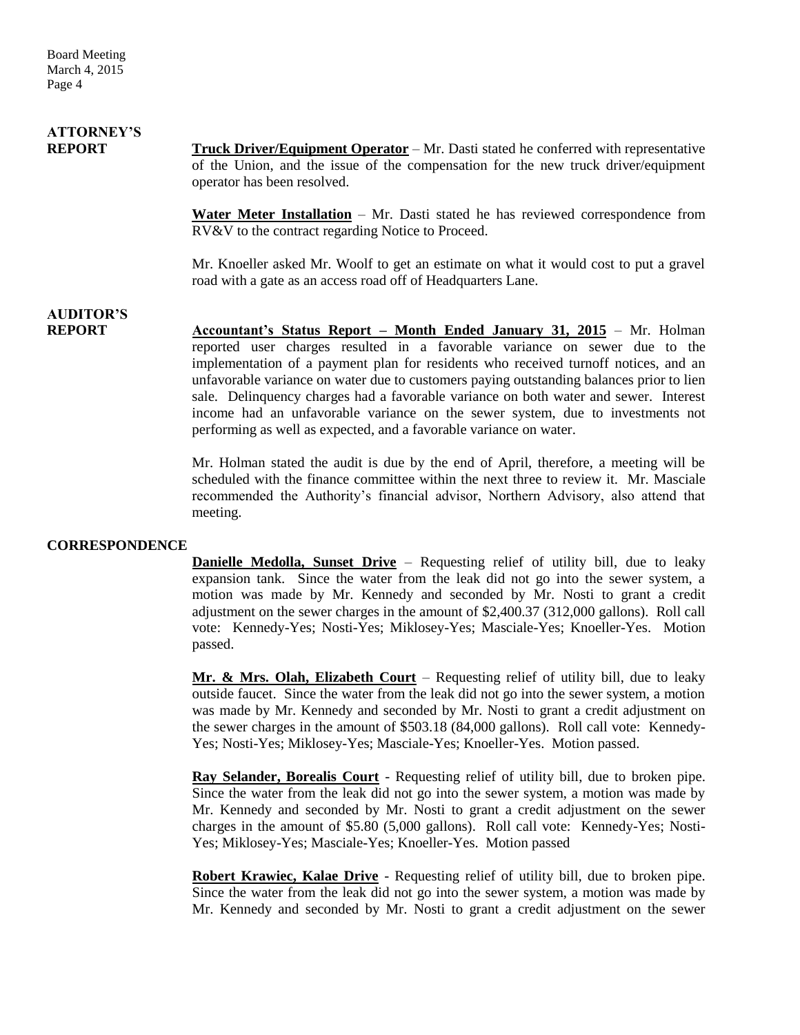# **ATTORNEY'S**

**REPORT Truck Driver/Equipment Operator** – Mr. Dasti stated he conferred with representative of the Union, and the issue of the compensation for the new truck driver/equipment operator has been resolved.

> **Water Meter Installation** – Mr. Dasti stated he has reviewed correspondence from RV&V to the contract regarding Notice to Proceed.

> Mr. Knoeller asked Mr. Woolf to get an estimate on what it would cost to put a gravel road with a gate as an access road off of Headquarters Lane.

### **AUDITOR'S**

**REPORT Accountant's Status Report – Month Ended January 31, 2015** – Mr. Holman reported user charges resulted in a favorable variance on sewer due to the implementation of a payment plan for residents who received turnoff notices, and an unfavorable variance on water due to customers paying outstanding balances prior to lien sale. Delinquency charges had a favorable variance on both water and sewer. Interest income had an unfavorable variance on the sewer system, due to investments not performing as well as expected, and a favorable variance on water.

> Mr. Holman stated the audit is due by the end of April, therefore, a meeting will be scheduled with the finance committee within the next three to review it. Mr. Masciale recommended the Authority's financial advisor, Northern Advisory, also attend that meeting.

#### **CORRESPONDENCE**

**Danielle Medolla, Sunset Drive** – Requesting relief of utility bill, due to leaky expansion tank. Since the water from the leak did not go into the sewer system, a motion was made by Mr. Kennedy and seconded by Mr. Nosti to grant a credit adjustment on the sewer charges in the amount of \$2,400.37 (312,000 gallons). Roll call vote: Kennedy-Yes; Nosti-Yes; Miklosey-Yes; Masciale-Yes; Knoeller-Yes. Motion passed.

**Mr. & Mrs. Olah, Elizabeth Court** – Requesting relief of utility bill, due to leaky outside faucet. Since the water from the leak did not go into the sewer system, a motion was made by Mr. Kennedy and seconded by Mr. Nosti to grant a credit adjustment on the sewer charges in the amount of \$503.18 (84,000 gallons). Roll call vote: Kennedy-Yes; Nosti-Yes; Miklosey-Yes; Masciale-Yes; Knoeller-Yes. Motion passed.

**Ray Selander, Borealis Court** - Requesting relief of utility bill, due to broken pipe. Since the water from the leak did not go into the sewer system, a motion was made by Mr. Kennedy and seconded by Mr. Nosti to grant a credit adjustment on the sewer charges in the amount of \$5.80 (5,000 gallons). Roll call vote: Kennedy-Yes; Nosti-Yes; Miklosey-Yes; Masciale-Yes; Knoeller-Yes. Motion passed

**Robert Krawiec, Kalae Drive** - Requesting relief of utility bill, due to broken pipe. Since the water from the leak did not go into the sewer system, a motion was made by Mr. Kennedy and seconded by Mr. Nosti to grant a credit adjustment on the sewer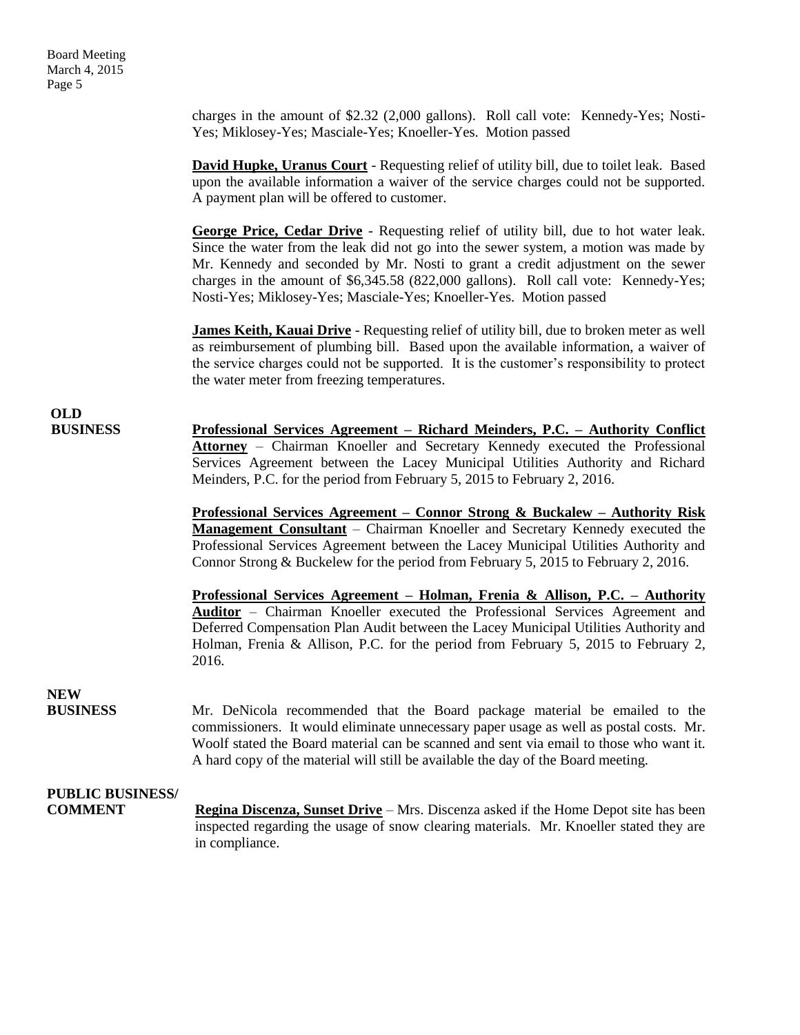charges in the amount of \$2.32 (2,000 gallons). Roll call vote: Kennedy-Yes; Nosti-Yes; Miklosey-Yes; Masciale-Yes; Knoeller-Yes. Motion passed

**David Hupke, Uranus Court** - Requesting relief of utility bill, due to toilet leak. Based upon the available information a waiver of the service charges could not be supported. A payment plan will be offered to customer.

**George Price, Cedar Drive** - Requesting relief of utility bill, due to hot water leak. Since the water from the leak did not go into the sewer system, a motion was made by Mr. Kennedy and seconded by Mr. Nosti to grant a credit adjustment on the sewer charges in the amount of \$6,345.58 (822,000 gallons). Roll call vote: Kennedy-Yes; Nosti-Yes; Miklosey-Yes; Masciale-Yes; Knoeller-Yes. Motion passed

**James Keith, Kauai Drive** - Requesting relief of utility bill, due to broken meter as well as reimbursement of plumbing bill. Based upon the available information, a waiver of the service charges could not be supported. It is the customer's responsibility to protect the water meter from freezing temperatures.

**OLD**

**BUSINESS Professional Services Agreement – Richard Meinders, P.C. – Authority Conflict Attorney** – Chairman Knoeller and Secretary Kennedy executed the Professional Services Agreement between the Lacey Municipal Utilities Authority and Richard Meinders, P.C. for the period from February 5, 2015 to February 2, 2016.

> **Professional Services Agreement – Connor Strong & Buckalew – Authority Risk Management Consultant** – Chairman Knoeller and Secretary Kennedy executed the Professional Services Agreement between the Lacey Municipal Utilities Authority and Connor Strong & Buckelew for the period from February 5, 2015 to February 2, 2016.

> **Professional Services Agreement – Holman, Frenia & Allison, P.C. – Authority Auditor** – Chairman Knoeller executed the Professional Services Agreement and Deferred Compensation Plan Audit between the Lacey Municipal Utilities Authority and Holman, Frenia & Allison, P.C. for the period from February 5, 2015 to February 2, 2016.

## **NEW**

**BUSINESS** Mr. DeNicola recommended that the Board package material be emailed to the commissioners. It would eliminate unnecessary paper usage as well as postal costs. Mr. Woolf stated the Board material can be scanned and sent via email to those who want it. A hard copy of the material will still be available the day of the Board meeting.

## **PUBLIC BUSINESS/**

**COMMENT Regina Discenza, Sunset Drive** – Mrs. Discenza asked if the Home Depot site has been inspected regarding the usage of snow clearing materials. Mr. Knoeller stated they are in compliance.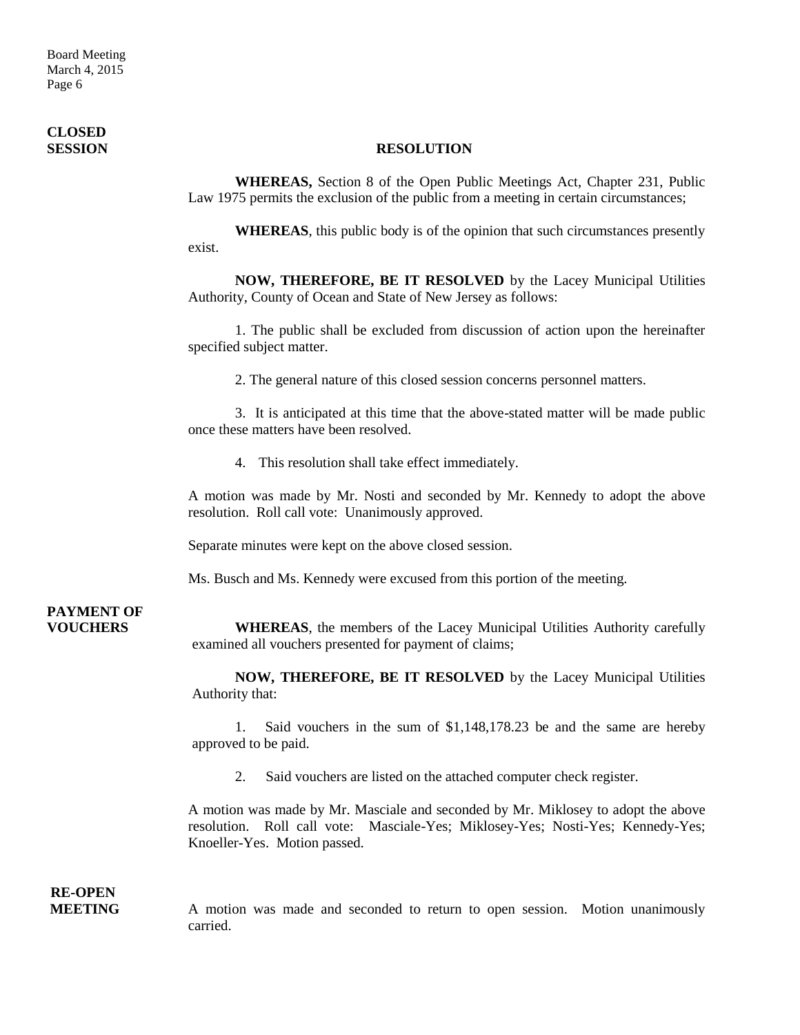Board Meeting March 4, 2015 Page 6

## **CLOSED**

#### **SESSION RESOLUTION**

**WHEREAS,** Section 8 of the Open Public Meetings Act, Chapter 231, Public Law 1975 permits the exclusion of the public from a meeting in certain circumstances;

**WHEREAS**, this public body is of the opinion that such circumstances presently exist.

**NOW, THEREFORE, BE IT RESOLVED** by the Lacey Municipal Utilities Authority, County of Ocean and State of New Jersey as follows:

1. The public shall be excluded from discussion of action upon the hereinafter specified subject matter.

2. The general nature of this closed session concerns personnel matters.

3. It is anticipated at this time that the above-stated matter will be made public once these matters have been resolved.

4. This resolution shall take effect immediately.

A motion was made by Mr. Nosti and seconded by Mr. Kennedy to adopt the above resolution. Roll call vote: Unanimously approved.

Separate minutes were kept on the above closed session.

Ms. Busch and Ms. Kennedy were excused from this portion of the meeting.

## **PAYMENT OF**

**VOUCHERS WHEREAS**, the members of the Lacey Municipal Utilities Authority carefully examined all vouchers presented for payment of claims;

> **NOW, THEREFORE, BE IT RESOLVED** by the Lacey Municipal Utilities Authority that:

> 1. Said vouchers in the sum of \$1,148,178.23 be and the same are hereby approved to be paid.

2. Said vouchers are listed on the attached computer check register.

A motion was made by Mr. Masciale and seconded by Mr. Miklosey to adopt the above resolution. Roll call vote: Masciale-Yes; Miklosey-Yes; Nosti-Yes; Kennedy-Yes; Knoeller-Yes. Motion passed.

## **RE-OPEN**

**MEETING** A motion was made and seconded to return to open session. Motion unanimously carried.